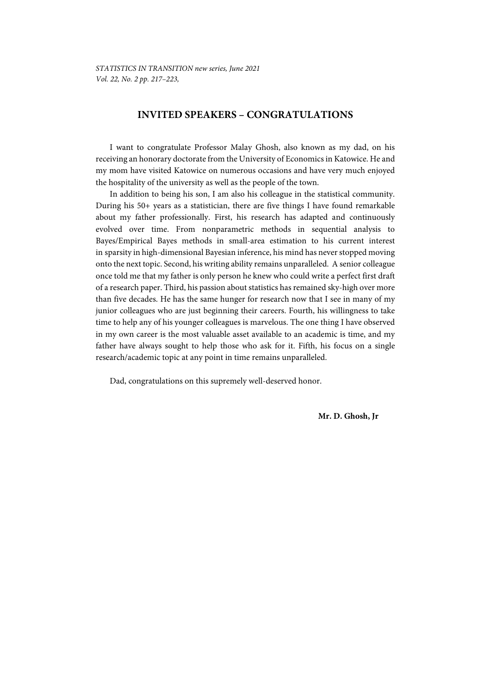# **INVITED SPEAKERS – CONGRATULATIONS**

I want to congratulate Professor Malay Ghosh, also known as my dad, on his receiving an honorary doctorate from the University of Economics in Katowice. He and my mom have visited Katowice on numerous occasions and have very much enjoyed the hospitality of the university as well as the people of the town.

In addition to being his son, I am also his colleague in the statistical community. During his 50+ years as a statistician, there are five things I have found remarkable about my father professionally. First, his research has adapted and continuously evolved over time. From nonparametric methods in sequential analysis to Bayes/Empirical Bayes methods in small-area estimation to his current interest in sparsity in high-dimensional Bayesian inference, his mind has never stopped moving onto the next topic. Second, his writing ability remains unparalleled. A senior colleague once told me that my father is only person he knew who could write a perfect first draft of a research paper. Third, his passion about statistics has remained sky-high over more than five decades. He has the same hunger for research now that I see in many of my junior colleagues who are just beginning their careers. Fourth, his willingness to take time to help any of his younger colleagues is marvelous. The one thing I have observed in my own career is the most valuable asset available to an academic is time, and my father have always sought to help those who ask for it. Fifth, his focus on a single research/academic topic at any point in time remains unparalleled.

Dad, congratulations on this supremely well-deserved honor.

**Mr. D. Ghosh, Jr**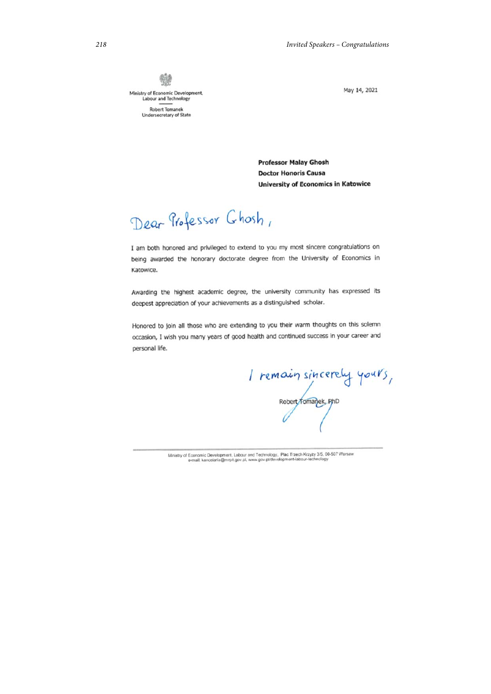變 Ministry of Economic Development,<br>Labour and Technology **Robert Tomanek** Undersecretary of State

May 14, 2021

**Professor Malay Ghosh Doctor Honoris Causa University of Economics in Katowice** 

Dear Professor Ghosh,

I am both honored and privileged to extend to you my most sincere congratulations on being awarded the honorary doctorate degree from the University of Economics in Katowice.

Awarding the highest academic degree, the university community has expressed its deepest appreciation of your achievements as a distinguished scholar.

Honored to join all those who are extending to you their warm thoughts on this solemn occasion, I wish you many years of good health and continued success in your career and personal life.

I remain sincerely yours,

Ministry of Economic Development, Labour and Technology, Plac Trzech Krzyży 3/5, 00-507 Warsaw e-mail: kancelaria@mrpit.gov.pl, www.gov.pl/development-labour-technology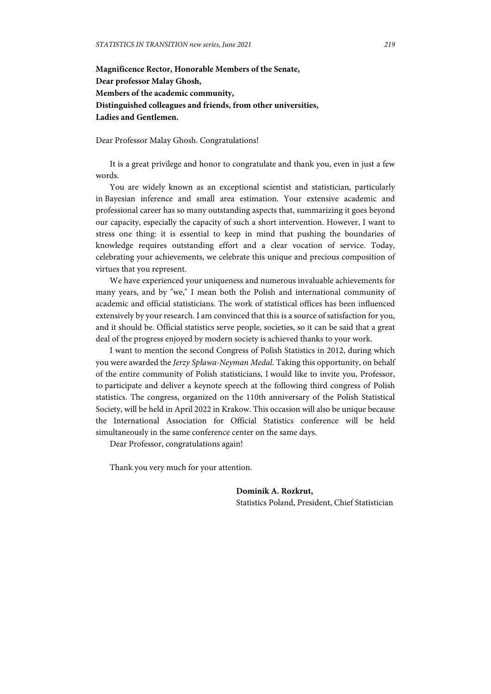**Magnificence Rector, Honorable Members of the Senate, Dear professor Malay Ghosh, Members of the academic community, Distinguished colleagues and friends, from other universities, Ladies and Gentlemen.** 

Dear Professor Malay Ghosh. Congratulations!

It is a great privilege and honor to congratulate and thank you, even in just a few words.

You are widely known as an exceptional scientist and statistician, particularly in Bayesian inference and small area estimation. Your extensive academic and professional career has so many outstanding aspects that, summarizing it goes beyond our capacity, especially the capacity of such a short intervention. However, I want to stress one thing: it is essential to keep in mind that pushing the boundaries of knowledge requires outstanding effort and a clear vocation of service. Today, celebrating your achievements, we celebrate this unique and precious composition of virtues that you represent.

We have experienced your uniqueness and numerous invaluable achievements for many years, and by "we," I mean both the Polish and international community of academic and official statisticians. The work of statistical offices has been influenced extensively by your research. I am convinced that this is a source of satisfaction for you, and it should be. Official statistics serve people, societies, so it can be said that a great deal of the progress enjoyed by modern society is achieved thanks to your work.

I want to mention the second Congress of Polish Statistics in 2012, during which you were awarded the *Jerzy Spława-Neyman Medal*. Taking this opportunity, on behalf of the entire community of Polish statisticians, I would like to invite you, Professor, to participate and deliver a keynote speech at the following third congress of Polish statistics. The congress, organized on the 110th anniversary of the Polish Statistical Society, will be held in April 2022 in Krakow. This occasion will also be unique because the International Association for Official Statistics conference will be held simultaneously in the same conference center on the same days.

Dear Professor, congratulations again!

Thank you very much for your attention.

**Dominik A. Rozkrut,**  Statistics Poland, President, Chief Statistician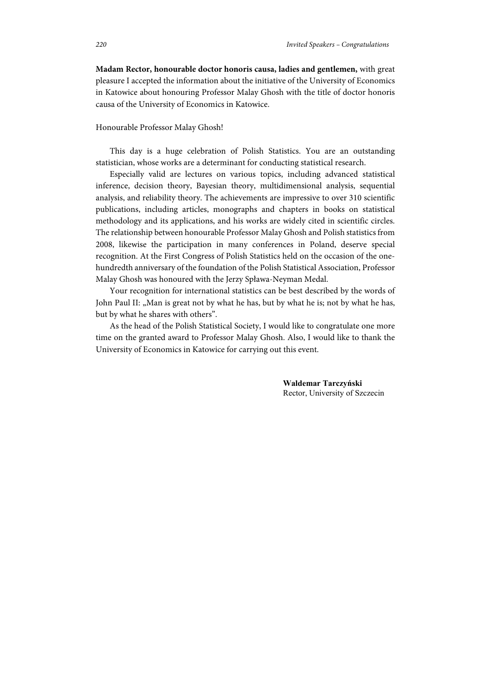**Madam Rector, honourable doctor honoris causa, ladies and gentlemen,** with great pleasure I accepted the information about the initiative of the University of Economics in Katowice about honouring Professor Malay Ghosh with the title of doctor honoris causa of the University of Economics in Katowice.

## Honourable Professor Malay Ghosh!

This day is a huge celebration of Polish Statistics. You are an outstanding statistician, whose works are a determinant for conducting statistical research.

Especially valid are lectures on various topics, including advanced statistical inference, decision theory, Bayesian theory, multidimensional analysis, sequential analysis, and reliability theory. The achievements are impressive to over 310 scientific publications, including articles, monographs and chapters in books on statistical methodology and its applications, and his works are widely cited in scientific circles. The relationship between honourable Professor Malay Ghosh and Polish statistics from 2008, likewise the participation in many conferences in Poland, deserve special recognition. At the First Congress of Polish Statistics held on the occasion of the onehundredth anniversary of the foundation of the Polish Statistical Association, Professor Malay Ghosh was honoured with the Jerzy Spława-Neyman Medal.

Your recognition for international statistics can be best described by the words of John Paul II: "Man is great not by what he has, but by what he is; not by what he has, but by what he shares with others".

As the head of the Polish Statistical Society, I would like to congratulate one more time on the granted award to Professor Malay Ghosh. Also, I would like to thank the University of Economics in Katowice for carrying out this event.

> **Waldemar Tarczyński**  Rector, University of Szczecin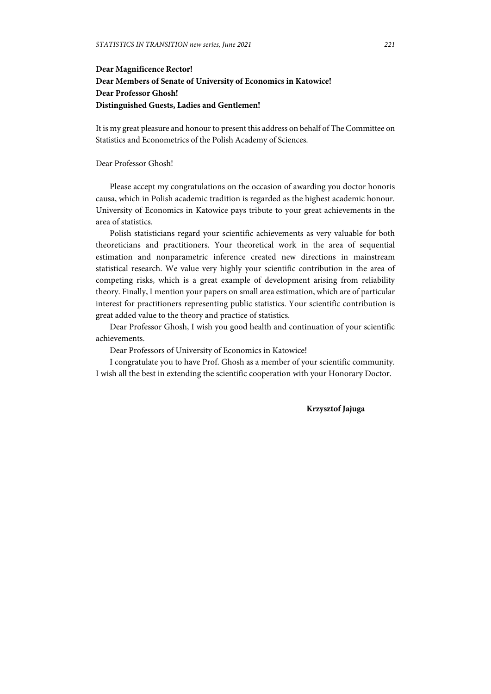# **Dear Magnificence Rector! Dear Members of Senate of University of Economics in Katowice! Dear Professor Ghosh! Distinguished Guests, Ladies and Gentlemen!**

It is my great pleasure and honour to present this address on behalf of The Committee on Statistics and Econometrics of the Polish Academy of Sciences.

## Dear Professor Ghosh!

Please accept my congratulations on the occasion of awarding you doctor honoris causa, which in Polish academic tradition is regarded as the highest academic honour. University of Economics in Katowice pays tribute to your great achievements in the area of statistics.

Polish statisticians regard your scientific achievements as very valuable for both theoreticians and practitioners. Your theoretical work in the area of sequential estimation and nonparametric inference created new directions in mainstream statistical research. We value very highly your scientific contribution in the area of competing risks, which is a great example of development arising from reliability theory. Finally, I mention your papers on small area estimation, which are of particular interest for practitioners representing public statistics. Your scientific contribution is great added value to the theory and practice of statistics.

Dear Professor Ghosh, I wish you good health and continuation of your scientific achievements.

Dear Professors of University of Economics in Katowice!

I congratulate you to have Prof. Ghosh as a member of your scientific community. I wish all the best in extending the scientific cooperation with your Honorary Doctor.

**Krzysztof Jajuga**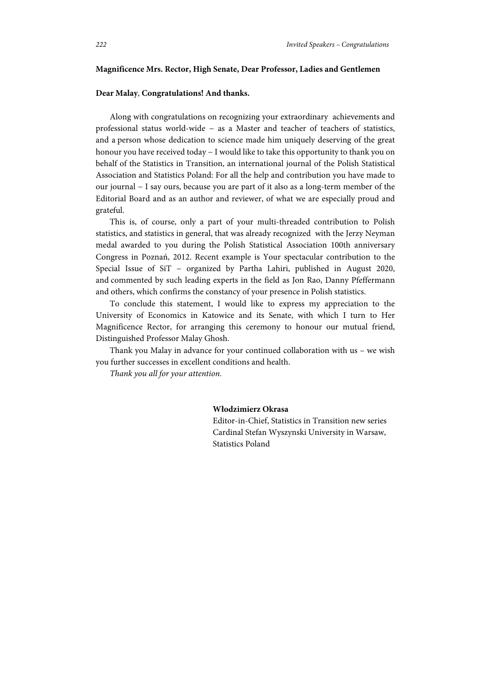### **Magnificence Mrs. Rector, High Senate, Dear Professor, Ladies and Gentlemen**

### **Dear Malay**, **Congratulations! And thanks.**

Along with congratulations on recognizing your extraordinary achievements and professional status world-wide − as a Master and teacher of teachers of statistics, and a person whose dedication to science made him uniquely deserving of the great honour you have received today − I would like to take this opportunity to thank you on behalf of the Statistics in Transition, an international journal of the Polish Statistical Association and Statistics Poland: For all the help and contribution you have made to our journal − I say ours, because you are part of it also as a long-term member of the Editorial Board and as an author and reviewer, of what we are especially proud and grateful.

This is, of course, only a part of your multi-threaded contribution to Polish statistics, and statistics in general, that was already recognized with the Jerzy Neyman medal awarded to you during the Polish Statistical Association 100th anniversary Congress in Poznań, 2012. Recent example is Your spectacular contribution to the Special Issue of SiT − organized by Partha Lahiri, published in August 2020, and commented by such leading experts in the field as Jon Rao, Danny Pfeffermann and others, which confirms the constancy of your presence in Polish statistics.

To conclude this statement, I would like to express my appreciation to the University of Economics in Katowice and its Senate, with which I turn to Her Magnificence Rector, for arranging this ceremony to honour our mutual friend, Distinguished Professor Malay Ghosh.

Thank you Malay in advance for your continued collaboration with us – we wish you further successes in excellent conditions and health.

*Thank you all for your attention.* 

#### **Włodzimierz Okrasa**

Editor-in-Chief, Statistics in Transition new series Cardinal Stefan Wyszynski University in Warsaw, Statistics Poland